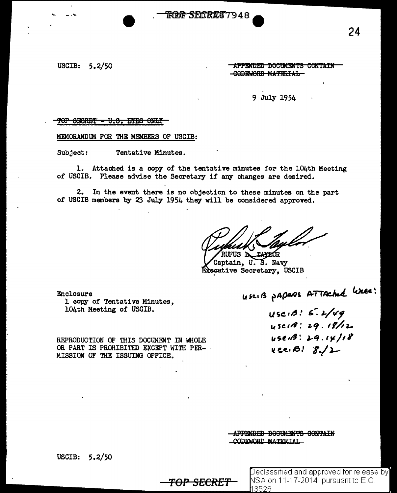## RAA SLORKT 7948

## USCIB:  $5.2/50$

#### APPENDED DOCUMENTS CONTAIN -CODEWORD MATERIAL-

#### 9 July 1954

#### <del>TOP SECRET - U.S. EYES ONLY</del>

MEMORANDUM FOR THE MEMBERS OF USCIB:

Tentative Minutes. Subject:

1. Attached is a copy of the tentative minutes for the 104th Meeting of USCIB. Please advise the Secretary if any changes are desired.

2. In the event there is no objection to these minutes on the part of USCIB members by 23 July 1954 they will be considered approved.

<del>TOP SECRET</del>

RUFUS **N TALLOR** 

Captain, U.S. Navy Executive Secretary, USCIB

Enclosure 1 copy of Tentative Minutes, 104th Meeting of USCIB.

REPRODUCTION OF THIS DOCUMENT IN WHOLE OR PART IS PROHIBITED EXCEPT WITH PER- . MISSION OF THE ISSUING OFFICE.

UserB paperos ATTAched Week:

 $USC1B: 6.2/49$ 45018:29.18/12  $USCH3: 29.14/18$  $45e$ . B!  $8/2$ 

APPENDED DOCUMENTS CONTAIN CODEWORD MATERIAL

USCIB:  $5.2/50$ 

 $\sf Declassified$  and approved for release by  $\sf I$ NSA on 11-17-2014 pursuant to E.O. 13526

24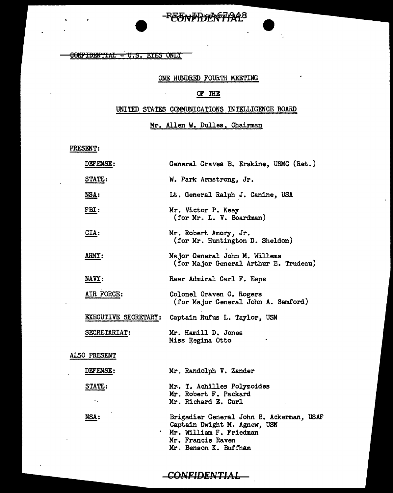# -REENPRYAG74248

 $\ddot{\phantom{a}}$ 

**CONFIDENTIAL - U.S. EYES ONLY** 

#### ONE HUNDRED FOURTH MEETING

#### OF THE

 $\bar{1}$ 

#### UNITED STATES COMMUNICATIONS INTELLIGENCE BOARD

# Mr. Allen W. Dulles, Chairman

PRESENT:

 $\ddot{\phantom{a}}$ 

|              | DEFENSE:     | General Graves B. Erskine, USMC (Ret.)                                                                                                            |  |
|--------------|--------------|---------------------------------------------------------------------------------------------------------------------------------------------------|--|
|              | STATE:       | W. Park Armstrong, Jr.                                                                                                                            |  |
|              | <u>NSA:</u>  | Lt. General Ralph J. Canine, USA                                                                                                                  |  |
|              | FBI:         | Mr. Victor P. Keay<br>(for Mr. L. V. Boardman)                                                                                                    |  |
|              | $CLA$ :      | Mr. Robert Amory, Jr.<br>(for Mr. Huntington D. Sheldon)                                                                                          |  |
|              | <b>ARMY:</b> | Major General John M. Willems<br>(for Major General Arthur E. Trudeau)                                                                            |  |
|              | NAVY:        | Rear Admiral Carl F. Espe                                                                                                                         |  |
|              | AIR FORCE:   | Colonel Craven C. Rogers<br>(for Major General John A. Samford)                                                                                   |  |
|              |              | EXECUTIVE SECRETARY: Captain Rufus L. Taylor, USN                                                                                                 |  |
|              | SECRETARIAT: | Mr. Hamill D. Jones<br>Miss Regina Otto                                                                                                           |  |
| ALSO PRESENT |              |                                                                                                                                                   |  |
|              | DEFENSE:     | Mr. Randolph V. Zander                                                                                                                            |  |
|              | STATE:<br>٠. | Mr. T. Achilles Polyzoides<br>Mr. Robert F. Packard<br>Mr. Richard E. Curl                                                                        |  |
|              | NSA:         | Brigadier General John B. Ackerman, USAF<br>Captain Dwight M. Agnew, USN<br>Mr. William F. Friedman<br>Mr. Francis Raven<br>Mr. Benson K. Buffham |  |

 $-$ CONFIDENTIAL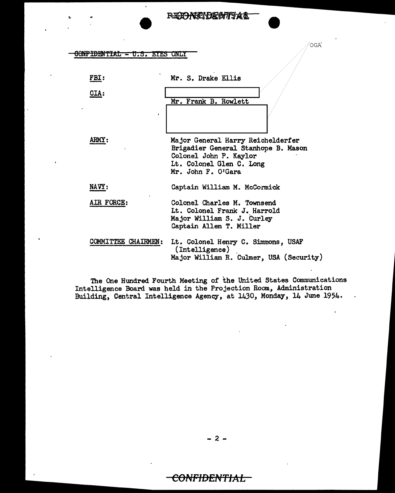#### CONFIDENTIAL - U.S. EYES ONLY

| FBI:                       | Mr. S. Drake Ellis                                                                                                                                   |
|----------------------------|------------------------------------------------------------------------------------------------------------------------------------------------------|
| CIA:                       | Mr. Frank B. Rowlett                                                                                                                                 |
| <b>AHMY:</b>               | Major General Harry Reichelderfer<br>Brigadier General Stanhope B. Mason<br>Colonel John P. Kaylor<br>Lt. Colonel Glen C. Long<br>Mr. John F. O'Gara |
| NAVY:                      | Captain William M. McCormick                                                                                                                         |
| AIR FORCE:                 | Colonel Charles M. Townsend<br>Lt. Colonel Frank J. Harrold<br>Major William S. J. Curley<br>Captain Allen T. Miller                                 |
| <b>COMMITTEE CHAIRMEN:</b> | Lt. Colonel Henry C. Simmons, USAF<br>(Intelligence)<br>Major William R. Culmer, USA (Security)                                                      |

The One Hundred Fourth Meeting of the United States Communications Intelligence Board was held in the Projection Room, Administration Building, Central Intelligence Agency, at 1430, Monday, 14 June 1954.

- 2 -

# <del>CONFIDENTIAL</del>